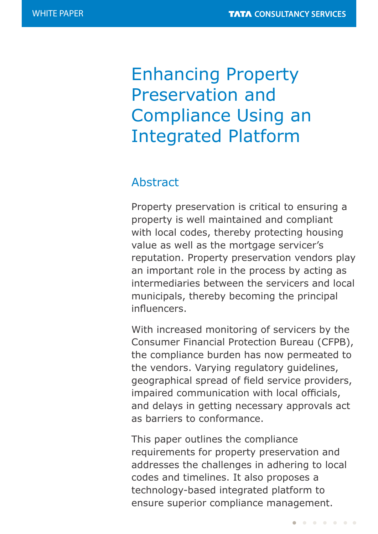# Enhancing Property Preservation and Compliance Using an Integrated Platform

## Abstract

Property preservation is critical to ensuring a property is well maintained and compliant with local codes, thereby protecting housing value as well as the mortgage servicer's reputation. Property preservation vendors play an important role in the process by acting as intermediaries between the servicers and local municipals, thereby becoming the principal influencers.

With increased monitoring of servicers by the Consumer Financial Protection Bureau (CFPB), the compliance burden has now permeated to the vendors. Varying regulatory guidelines, geographical spread of field service providers, impaired communication with local officials, and delays in getting necessary approvals act as barriers to conformance.

This paper outlines the compliance requirements for property preservation and addresses the challenges in adhering to local codes and timelines. It also proposes a technology-based integrated platform to ensure superior compliance management.

 $\begin{array}{cccccccccccccccccc} \bullet & \bullet & \bullet & \bullet & \bullet & \bullet & \bullet & \bullet & \bullet & \bullet \end{array}$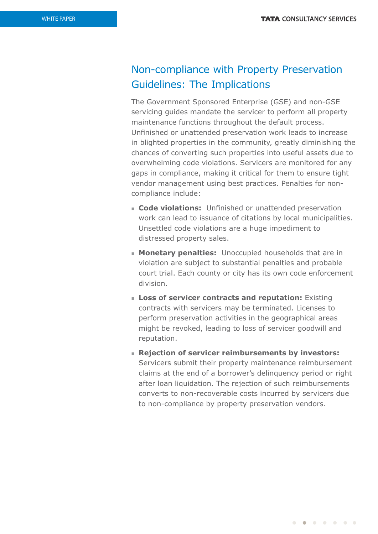## Non-compliance with Property Preservation Guidelines: The Implications

The Government Sponsored Enterprise (GSE) and non-GSE servicing guides mandate the servicer to perform all property maintenance functions throughout the default process. Unfinished or unattended preservation work leads to increase in blighted properties in the community, greatly diminishing the chances of converting such properties into useful assets due to overwhelming code violations. Servicers are monitored for any gaps in compliance, making it critical for them to ensure tight vendor management using best practices. Penalties for noncompliance include:

- **Code violations:** Unfinished or unattended preservation work can lead to issuance of citations by local municipalities. Unsettled code violations are a huge impediment to distressed property sales.
- **Monetary penalties:** Unoccupied households that are in violation are subject to substantial penalties and probable court trial. Each county or city has its own code enforcement division.
- **Example 3 Loss of servicer contracts and reputation:** Existing contracts with servicers may be terminated. Licenses to perform preservation activities in the geographical areas might be revoked, leading to loss of servicer goodwill and reputation.
- <sup>n</sup> **Rejection of servicer reimbursements by investors:** Servicers submit their property maintenance reimbursement claims at the end of a borrower's delinquency period or right after loan liquidation. The rejection of such reimbursements converts to non-recoverable costs incurred by servicers due to non-compliance by property preservation vendors.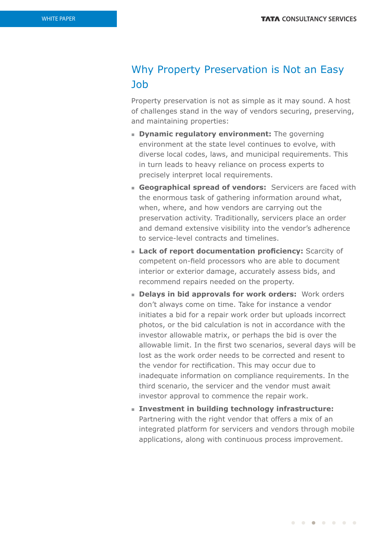### Why Property Preservation is Not an Easy Job

Property preservation is not as simple as it may sound. A host of challenges stand in the way of vendors securing, preserving, and maintaining properties:

- **E** Dynamic regulatory environment: The governing environment at the state level continues to evolve, with diverse local codes, laws, and municipal requirements. This in turn leads to heavy reliance on process experts to precisely interpret local requirements.
- **Geographical spread of vendors:** Servicers are faced with the enormous task of gathering information around what, when, where, and how vendors are carrying out the preservation activity. Traditionally, servicers place an order and demand extensive visibility into the vendor's adherence to service-level contracts and timelines.
- **Lack of report documentation proficiency:** Scarcity of competent on-field processors who are able to document interior or exterior damage, accurately assess bids, and recommend repairs needed on the property.
- **Example 1** Delays in bid approvals for work orders: Work orders don't always come on time. Take for instance a vendor initiates a bid for a repair work order but uploads incorrect photos, or the bid calculation is not in accordance with the investor allowable matrix, or perhaps the bid is over the allowable limit. In the first two scenarios, several days will be lost as the work order needs to be corrected and resent to the vendor for rectification. This may occur due to inadequate information on compliance requirements. In the third scenario, the servicer and the vendor must await investor approval to commence the repair work.
- **n** Investment in building technology infrastructure: Partnering with the right vendor that offers a mix of an integrated platform for servicers and vendors through mobile applications, along with continuous process improvement.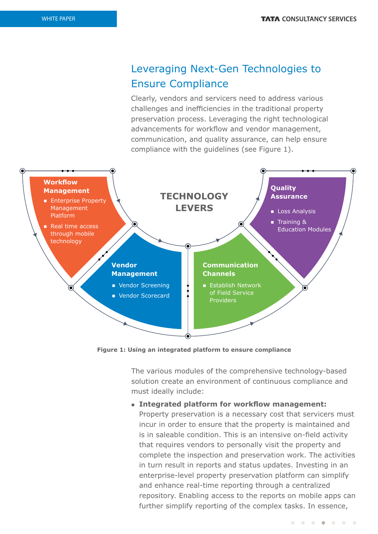# Leveraging Next-Gen Technologies to Ensure Compliance

Clearly, vendors and servicers need to address various challenges and inefficiencies in the traditional property preservation process. Leveraging the right technological advancements for workflow and vendor management, communication, and quality assurance, can help ensure compliance with the guidelines (see Figure 1).



**Figure 1: Using an integrated platform to ensure compliance**

The various modules of the comprehensive technology-based solution create an environment of continuous compliance and must ideally include:

#### **n** Integrated platform for workflow management:

Property preservation is a necessary cost that servicers must incur in order to ensure that the property is maintained and is in saleable condition. This is an intensive on-field activity that requires vendors to personally visit the property and complete the inspection and preservation work. The activities in turn result in reports and status updates. Investing in an enterprise-level property preservation platform can simplify and enhance real-time reporting through a centralized repository. Enabling access to the reports on mobile apps can further simplify reporting of the complex tasks. In essence,

. . . . . . .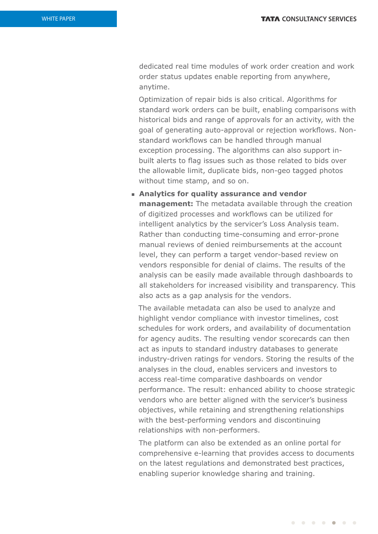dedicated real time modules of work order creation and work order status updates enable reporting from anywhere, anytime.

Optimization of repair bids is also critical. Algorithms for standard work orders can be built, enabling comparisons with historical bids and range of approvals for an activity, with the goal of generating auto-approval or rejection workflows. Nonstandard workflows can be handled through manual exception processing. The algorithms can also support inbuilt alerts to flag issues such as those related to bids over the allowable limit, duplicate bids, non-geo tagged photos without time stamp, and so on.

<sup>n</sup> **Analytics for quality assurance and vendor management:** The metadata available through the creation of digitized processes and workflows can be utilized for intelligent analytics by the servicer's Loss Analysis team. Rather than conducting time-consuming and error-prone manual reviews of denied reimbursements at the account level, they can perform a target vendor-based review on vendors responsible for denial of claims. The results of the analysis can be easily made available through dashboards to all stakeholders for increased visibility and transparency. This also acts as a gap analysis for the vendors.

The available metadata can also be used to analyze and highlight vendor compliance with investor timelines, cost schedules for work orders, and availability of documentation for agency audits. The resulting vendor scorecards can then act as inputs to standard industry databases to generate industry-driven ratings for vendors. Storing the results of the analyses in the cloud, enables servicers and investors to access real-time comparative dashboards on vendor performance. The result: enhanced ability to choose strategic vendors who are better aligned with the servicer's business objectives, while retaining and strengthening relationships with the best-performing vendors and discontinuing relationships with non-performers.

The platform can also be extended as an online portal for comprehensive e-learning that provides access to documents on the latest regulations and demonstrated best practices, enabling superior knowledge sharing and training.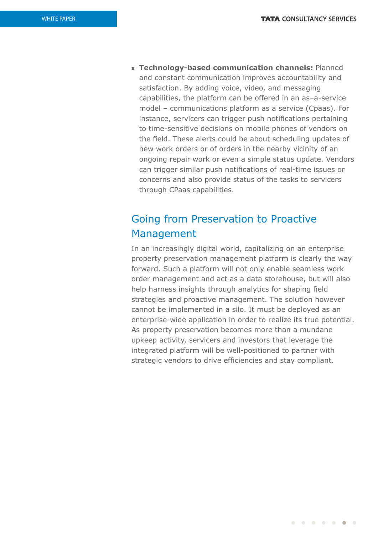**Fechnology-based communication channels: Planned** and constant communication improves accountability and satisfaction. By adding voice, video, and messaging capabilities, the platform can be offered in an as–a-service model – communications platform as a service (Cpaas). For instance, servicers can trigger push notifications pertaining to time-sensitive decisions on mobile phones of vendors on the field. These alerts could be about scheduling updates of new work orders or of orders in the nearby vicinity of an ongoing repair work or even a simple status update. Vendors can trigger similar push notifications of real-time issues or concerns and also provide status of the tasks to servicers through CPaas capabilities.

## Going from Preservation to Proactive Management

In an increasingly digital world, capitalizing on an enterprise property preservation management platform is clearly the way forward. Such a platform will not only enable seamless work order management and act as a data storehouse, but will also help harness insights through analytics for shaping field strategies and proactive management. The solution however cannot be implemented in a silo. It must be deployed as an enterprise-wide application in order to realize its true potential. As property preservation becomes more than a mundane upkeep activity, servicers and investors that leverage the integrated platform will be well-positioned to partner with strategic vendors to drive efficiencies and stay compliant.